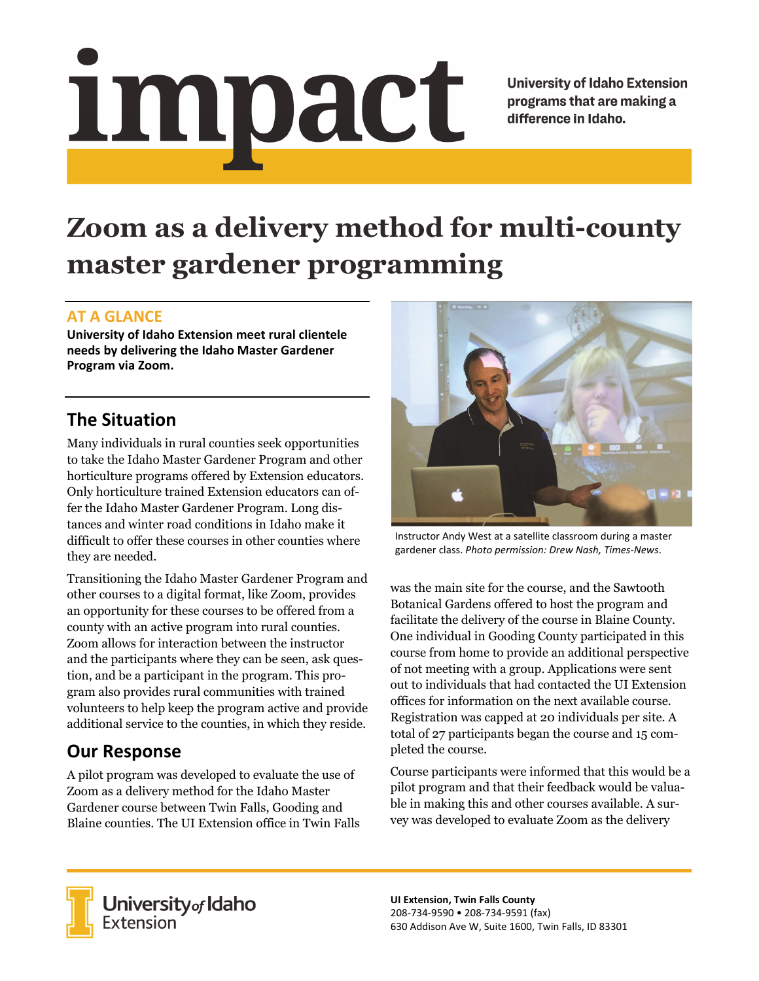# Impact

**University of Idaho Extension** programs that are making a difference in Idaho.

# **Zoom as a delivery method for multi-county master gardener programming**

#### **AT A GLANCE**

**University of Idaho Extension meet rural clientele needs by delivering the Idaho Master Gardener Program via Zoom.** 

### **The Situation**

Many individuals in rural counties seek opportunities to take the Idaho Master Gardener Program and other horticulture programs offered by Extension educators. Only horticulture trained Extension educators can offer the Idaho Master Gardener Program. Long distances and winter road conditions in Idaho make it difficult to offer these courses in other counties where they are needed.

Transitioning the Idaho Master Gardener Program and other courses to a digital format, like Zoom, provides an opportunity for these courses to be offered from a county with an active program into rural counties. Zoom allows for interaction between the instructor and the participants where they can be seen, ask question, and be a participant in the program. This program also provides rural communities with trained volunteers to help keep the program active and provide additional service to the counties, in which they reside.

## **Our Response**

A pilot program was developed to evaluate the use of Zoom as a delivery method for the Idaho Master Gardener course between Twin Falls, Gooding and Blaine counties. The UI Extension office in Twin Falls



Instructor Andy West at a satellite classroom during a master gardener class. *Photo permission: Drew Nash, Times‐News*.

was the main site for the course, and the Sawtooth Botanical Gardens offered to host the program and facilitate the delivery of the course in Blaine County. One individual in Gooding County participated in this course from home to provide an additional perspective of not meeting with a group. Applications were sent out to individuals that had contacted the UI Extension offices for information on the next available course. Registration was capped at 20 individuals per site. A total of 27 participants began the course and 15 completed the course.

Course participants were informed that this would be a pilot program and that their feedback would be valuable in making this and other courses available. A survey was developed to evaluate Zoom as the delivery



**University** of Idaho<br>Extension

**UI Extension, Twin Falls County**  208‐734‐9590 • 208‐734‐9591 (fax) 630 Addison Ave W, Suite 1600, Twin Falls, ID 83301